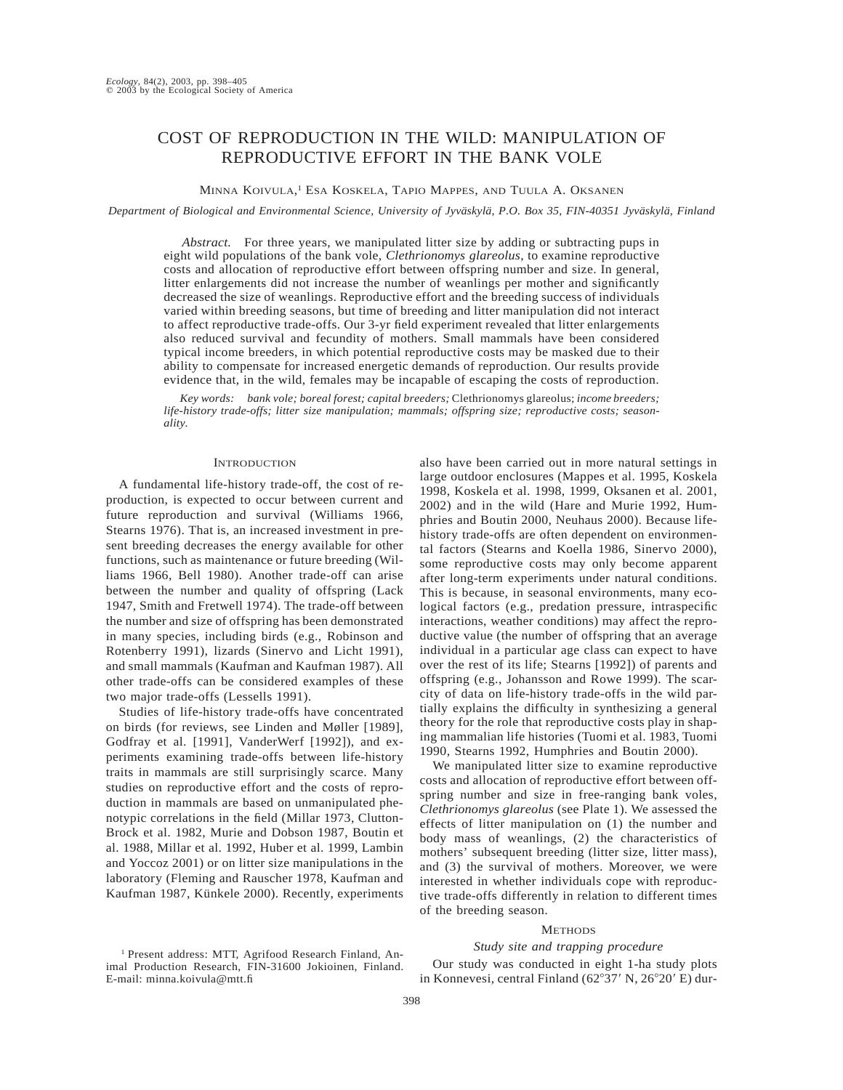# COST OF REPRODUCTION IN THE WILD: MANIPULATION OF REPRODUCTIVE EFFORT IN THE BANK VOLE

### MINNA KOIVULA, <sup>1</sup> ESA KOSKELA, TAPIO MAPPES, AND TUULA A. OKSANEN

*Department of Biological and Environmental Science, University of Jyväskylä, P.O. Box 35, FIN-40351 Jyväskylä, Finland* 

*Abstract.* For three years, we manipulated litter size by adding or subtracting pups in eight wild populations of the bank vole, *Clethrionomys glareolus*, to examine reproductive costs and allocation of reproductive effort between offspring number and size. In general, litter enlargements did not increase the number of weanlings per mother and significantly decreased the size of weanlings. Reproductive effort and the breeding success of individuals varied within breeding seasons, but time of breeding and litter manipulation did not interact to affect reproductive trade-offs. Our 3-yr field experiment revealed that litter enlargements also reduced survival and fecundity of mothers. Small mammals have been considered typical income breeders, in which potential reproductive costs may be masked due to their ability to compensate for increased energetic demands of reproduction. Our results provide evidence that, in the wild, females may be incapable of escaping the costs of reproduction.

*Key words: bank vole; boreal forest; capital breeders;* Clethrionomys glareolus; *income breeders; life-history trade-offs; litter size manipulation; mammals; offspring size; reproductive costs; seasonality.*

## **INTRODUCTION**

A fundamental life-history trade-off, the cost of reproduction, is expected to occur between current and future reproduction and survival (Williams 1966, Stearns 1976). That is, an increased investment in present breeding decreases the energy available for other functions, such as maintenance or future breeding (Williams 1966, Bell 1980). Another trade-off can arise between the number and quality of offspring (Lack 1947, Smith and Fretwell 1974). The trade-off between the number and size of offspring has been demonstrated in many species, including birds (e.g., Robinson and Rotenberry 1991), lizards (Sinervo and Licht 1991), and small mammals (Kaufman and Kaufman 1987). All other trade-offs can be considered examples of these two major trade-offs (Lessells 1991).

Studies of life-history trade-offs have concentrated on birds (for reviews, see Linden and Møller [1989], Godfray et al. [1991], VanderWerf [1992]), and experiments examining trade-offs between life-history traits in mammals are still surprisingly scarce. Many studies on reproductive effort and the costs of reproduction in mammals are based on unmanipulated phenotypic correlations in the field (Millar 1973, Clutton-Brock et al. 1982, Murie and Dobson 1987, Boutin et al. 1988, Millar et al. 1992, Huber et al. 1999, Lambin and Yoccoz 2001) or on litter size manipulations in the laboratory (Fleming and Rauscher 1978, Kaufman and Kaufman 1987, Künkele 2000). Recently, experiments

<sup>1</sup> Present address: MTT, Agrifood Research Finland, Animal Production Research, FIN-31600 Jokioinen, Finland. E-mail: minna.koivula@mtt.fi

also have been carried out in more natural settings in large outdoor enclosures (Mappes et al. 1995, Koskela 1998, Koskela et al. 1998, 1999, Oksanen et al. 2001, 2002) and in the wild (Hare and Murie 1992, Humphries and Boutin 2000, Neuhaus 2000). Because lifehistory trade-offs are often dependent on environmental factors (Stearns and Koella 1986, Sinervo 2000), some reproductive costs may only become apparent after long-term experiments under natural conditions. This is because, in seasonal environments, many ecological factors (e.g., predation pressure, intraspecific interactions, weather conditions) may affect the reproductive value (the number of offspring that an average individual in a particular age class can expect to have over the rest of its life; Stearns [1992]) of parents and offspring (e.g., Johansson and Rowe 1999). The scarcity of data on life-history trade-offs in the wild partially explains the difficulty in synthesizing a general theory for the role that reproductive costs play in shaping mammalian life histories (Tuomi et al. 1983, Tuomi 1990, Stearns 1992, Humphries and Boutin 2000).

We manipulated litter size to examine reproductive costs and allocation of reproductive effort between offspring number and size in free-ranging bank voles, *Clethrionomys glareolus* (see Plate 1). We assessed the effects of litter manipulation on (1) the number and body mass of weanlings, (2) the characteristics of mothers' subsequent breeding (litter size, litter mass), and (3) the survival of mothers. Moreover, we were interested in whether individuals cope with reproductive trade-offs differently in relation to different times of the breeding season.

# **METHODS**

### *Study site and trapping procedure*

Our study was conducted in eight 1-ha study plots in Konnevesi, central Finland ( $62^{\circ}37'$  N,  $26^{\circ}20'$  E) dur-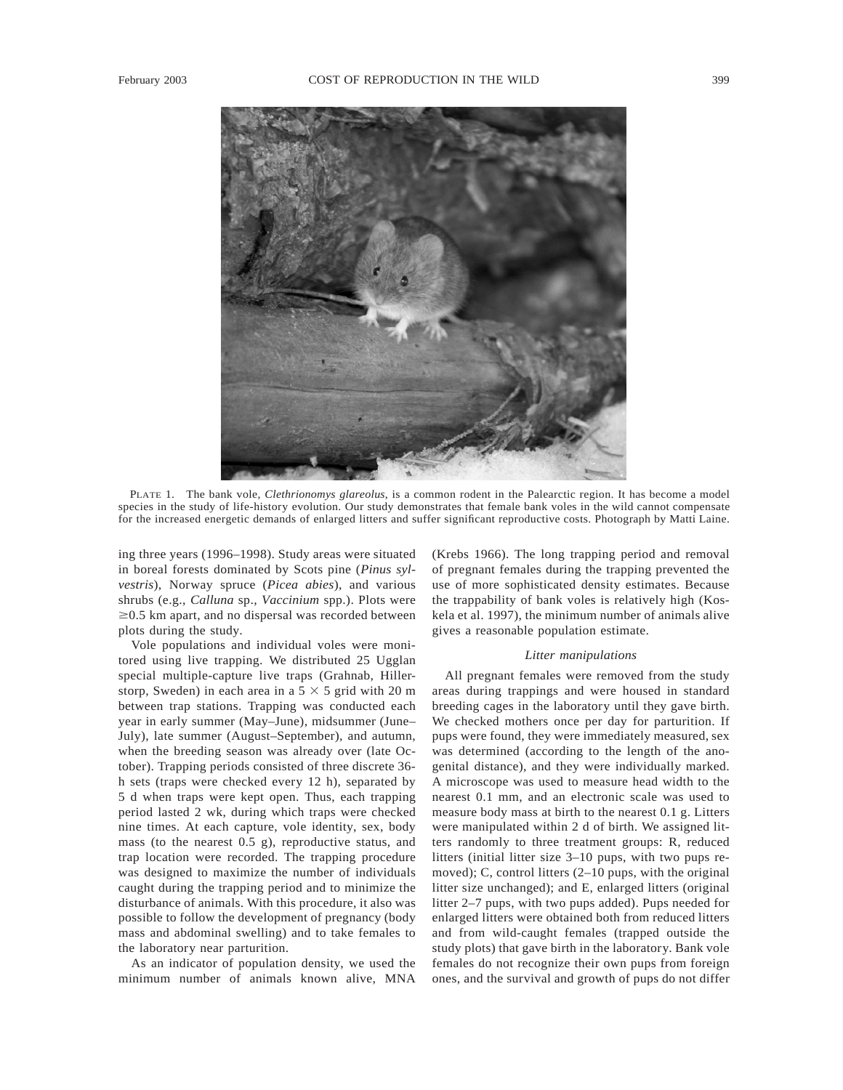

PLATE 1. The bank vole, *Clethrionomys glareolus*, is a common rodent in the Palearctic region. It has become a model species in the study of life-history evolution. Our study demonstrates that female bank voles in the wild cannot compensate for the increased energetic demands of enlarged litters and suffer significant reproductive costs. Photograph by Matti Laine.

ing three years (1996–1998). Study areas were situated in boreal forests dominated by Scots pine (*Pinus sylvestris*), Norway spruce (*Picea abies*), and various shrubs (e.g., *Calluna* sp., *Vaccinium* spp.). Plots were  $\geq$ 0.5 km apart, and no dispersal was recorded between plots during the study.

Vole populations and individual voles were monitored using live trapping. We distributed 25 Ugglan special multiple-capture live traps (Grahnab, Hillerstorp, Sweden) in each area in a  $5 \times 5$  grid with 20 m between trap stations. Trapping was conducted each year in early summer (May–June), midsummer (June– July), late summer (August–September), and autumn, when the breeding season was already over (late October). Trapping periods consisted of three discrete 36 h sets (traps were checked every 12 h), separated by 5 d when traps were kept open. Thus, each trapping period lasted 2 wk, during which traps were checked nine times. At each capture, vole identity, sex, body mass (to the nearest 0.5 g), reproductive status, and trap location were recorded. The trapping procedure was designed to maximize the number of individuals caught during the trapping period and to minimize the disturbance of animals. With this procedure, it also was possible to follow the development of pregnancy (body mass and abdominal swelling) and to take females to the laboratory near parturition.

As an indicator of population density, we used the minimum number of animals known alive, MNA (Krebs 1966). The long trapping period and removal of pregnant females during the trapping prevented the use of more sophisticated density estimates. Because the trappability of bank voles is relatively high (Koskela et al. 1997), the minimum number of animals alive gives a reasonable population estimate.

#### *Litter manipulations*

All pregnant females were removed from the study areas during trappings and were housed in standard breeding cages in the laboratory until they gave birth. We checked mothers once per day for parturition. If pups were found, they were immediately measured, sex was determined (according to the length of the anogenital distance), and they were individually marked. A microscope was used to measure head width to the nearest 0.1 mm, and an electronic scale was used to measure body mass at birth to the nearest 0.1 g. Litters were manipulated within 2 d of birth. We assigned litters randomly to three treatment groups: R, reduced litters (initial litter size 3–10 pups, with two pups removed); C, control litters (2–10 pups, with the original litter size unchanged); and E, enlarged litters (original litter 2–7 pups, with two pups added). Pups needed for enlarged litters were obtained both from reduced litters and from wild-caught females (trapped outside the study plots) that gave birth in the laboratory. Bank vole females do not recognize their own pups from foreign ones, and the survival and growth of pups do not differ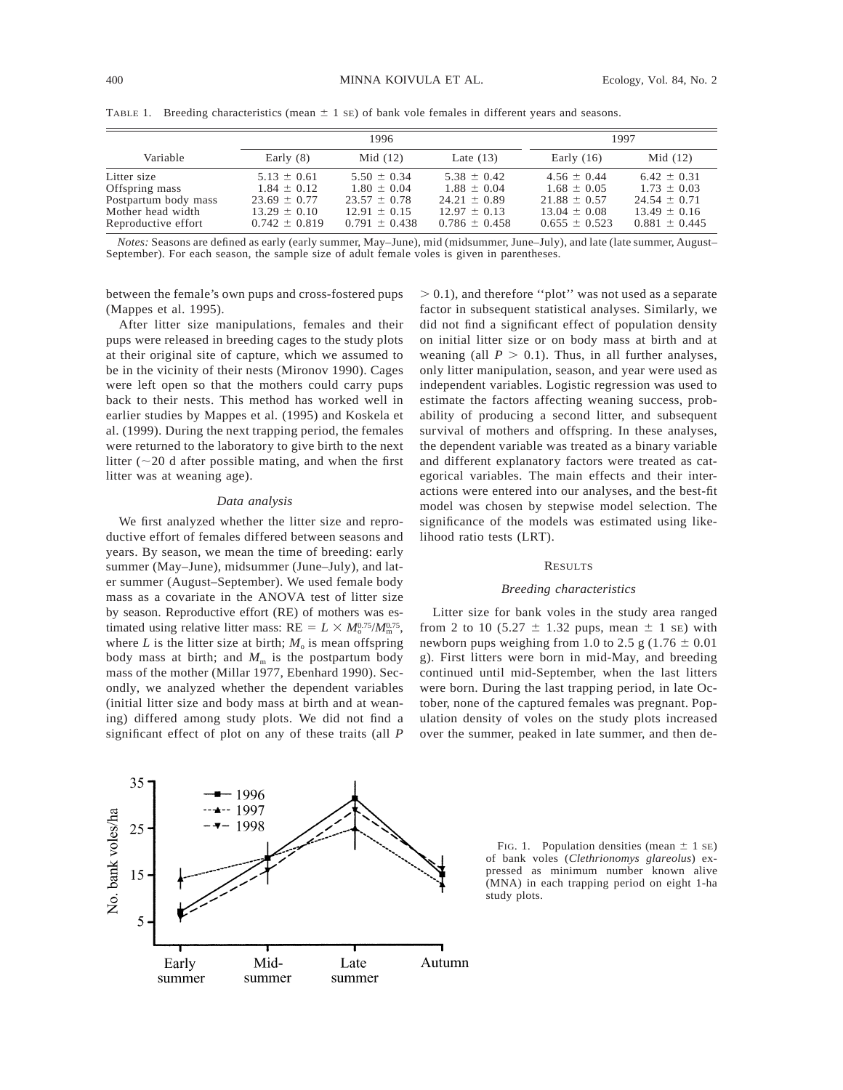|                                                                                                   |                                                                                                 | 1996                                                                                            | 1997                                                                                            |                                                                                                 |                                                                                                 |
|---------------------------------------------------------------------------------------------------|-------------------------------------------------------------------------------------------------|-------------------------------------------------------------------------------------------------|-------------------------------------------------------------------------------------------------|-------------------------------------------------------------------------------------------------|-------------------------------------------------------------------------------------------------|
| Variable                                                                                          | Early $(8)$                                                                                     | Mid $(12)$                                                                                      | Late $(13)$                                                                                     | Early $(16)$                                                                                    | Mid $(12)$                                                                                      |
| Litter size<br>Offspring mass<br>Postpartum body mass<br>Mother head width<br>Reproductive effort | $5.13 \pm 0.61$<br>$1.84 \pm 0.12$<br>$23.69 \pm 0.77$<br>$13.29 \pm 0.10$<br>$0.742 \pm 0.819$ | $5.50 \pm 0.34$<br>$1.80 \pm 0.04$<br>$23.57 \pm 0.78$<br>$12.91 \pm 0.15$<br>$0.791 \pm 0.438$ | $5.38 \pm 0.42$<br>$1.88 \pm 0.04$<br>$24.21 \pm 0.89$<br>$12.97 \pm 0.13$<br>$0.786 \pm 0.458$ | $4.56 \pm 0.44$<br>$1.68 \pm 0.05$<br>$21.88 \pm 0.57$<br>$13.04 \pm 0.08$<br>$0.655 \pm 0.523$ | $6.42 \pm 0.31$<br>$1.73 \pm 0.03$<br>$24.54 \pm 0.71$<br>$13.49 \pm 0.16$<br>$0.881 \pm 0.445$ |

TABLE 1. Breeding characteristics (mean  $\pm$  1 sE) of bank vole females in different years and seasons.

*Notes:* Seasons are defined as early (early summer, May–June), mid (midsummer, June–July), and late (late summer, August– September). For each season, the sample size of adult female voles is given in parentheses.

between the female's own pups and cross-fostered pups (Mappes et al. 1995).

After litter size manipulations, females and their pups were released in breeding cages to the study plots at their original site of capture, which we assumed to be in the vicinity of their nests (Mironov 1990). Cages were left open so that the mothers could carry pups back to their nests. This method has worked well in earlier studies by Mappes et al. (1995) and Koskela et al. (1999). During the next trapping period, the females were returned to the laboratory to give birth to the next litter ( $\sim$ 20 d after possible mating, and when the first litter was at weaning age).

## *Data analysis*

We first analyzed whether the litter size and reproductive effort of females differed between seasons and years. By season, we mean the time of breeding: early summer (May–June), midsummer (June–July), and later summer (August–September). We used female body mass as a covariate in the ANOVA test of litter size by season. Reproductive effort (RE) of mothers was estimated using relative litter mass:  $RE = L \times M_0^{0.75} / M_{\rm m}^{0.75}$ , where *L* is the litter size at birth;  $M_0$  is mean offspring body mass at birth; and  $M<sub>m</sub>$  is the postpartum body mass of the mother (Millar 1977, Ebenhard 1990). Secondly, we analyzed whether the dependent variables (initial litter size and body mass at birth and at weaning) differed among study plots. We did not find a significant effect of plot on any of these traits (all *P*

 $> 0.1$ ), and therefore "plot" was not used as a separate factor in subsequent statistical analyses. Similarly, we did not find a significant effect of population density on initial litter size or on body mass at birth and at weaning (all  $P > 0.1$ ). Thus, in all further analyses, only litter manipulation, season, and year were used as independent variables. Logistic regression was used to estimate the factors affecting weaning success, probability of producing a second litter, and subsequent survival of mothers and offspring. In these analyses, the dependent variable was treated as a binary variable and different explanatory factors were treated as categorical variables. The main effects and their interactions were entered into our analyses, and the best-fit model was chosen by stepwise model selection. The significance of the models was estimated using likelihood ratio tests (LRT).

#### RESULTS

# *Breeding characteristics*

Litter size for bank voles in the study area ranged from 2 to 10 (5.27  $\pm$  1.32 pups, mean  $\pm$  1 se) with newborn pups weighing from 1.0 to 2.5 g  $(1.76 \pm 0.01)$ g). First litters were born in mid-May, and breeding continued until mid-September, when the last litters were born. During the last trapping period, in late October, none of the captured females was pregnant. Population density of voles on the study plots increased over the summer, peaked in late summer, and then de-



FIG. 1. Population densities (mean  $\pm$  1 sE) of bank voles (*Clethrionomys glareolus*) expressed as minimum number known alive (MNA) in each trapping period on eight 1-ha study plots.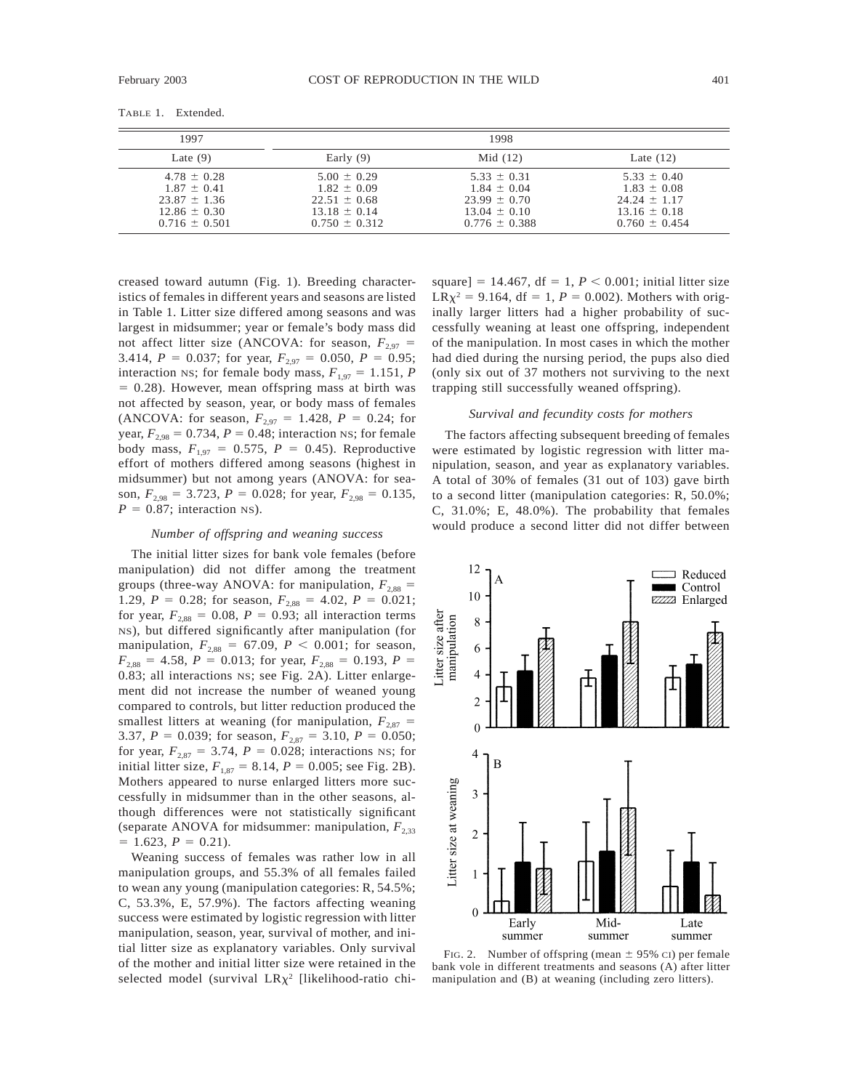| 1997                                                                                            |                                                                                                 | 1998                                                                                            |                                                                                                 |
|-------------------------------------------------------------------------------------------------|-------------------------------------------------------------------------------------------------|-------------------------------------------------------------------------------------------------|-------------------------------------------------------------------------------------------------|
| Late $(9)$                                                                                      | Early $(9)$                                                                                     | Mid $(12)$                                                                                      | Late $(12)$                                                                                     |
| $4.78 \pm 0.28$<br>$1.87 \pm 0.41$<br>$23.87 \pm 1.36$<br>$12.86 \pm 0.30$<br>$0.716 \pm 0.501$ | $5.00 \pm 0.29$<br>$1.82 \pm 0.09$<br>$22.51 \pm 0.68$<br>$13.18 \pm 0.14$<br>$0.750 \pm 0.312$ | $5.33 \pm 0.31$<br>$1.84 \pm 0.04$<br>$23.99 \pm 0.70$<br>$13.04 \pm 0.10$<br>$0.776 \pm 0.388$ | $5.33 \pm 0.40$<br>$1.83 \pm 0.08$<br>$24.24 \pm 1.17$<br>$13.16 \pm 0.18$<br>$0.760 \pm 0.454$ |

creased toward autumn (Fig. 1). Breeding characteristics of females in different years and seasons are listed in Table 1. Litter size differed among seasons and was largest in midsummer; year or female's body mass did not affect litter size (ANCOVA: for season,  $F_{2.97}$  = 3.414,  $P = 0.037$ ; for year,  $F_{2.97} = 0.050$ ,  $P = 0.95$ ; interaction NS; for female body mass,  $F_{1.97} = 1.151$ , *P*  $= 0.28$ ). However, mean offspring mass at birth was not affected by season, year, or body mass of females (ANCOVA: for season,  $F_{2,97} = 1.428$ ,  $P = 0.24$ ; for year,  $F_{2,98} = 0.734$ ,  $P = 0.48$ ; interaction NS; for female body mass,  $F_{1,97} = 0.575$ ,  $P = 0.45$ ). Reproductive effort of mothers differed among seasons (highest in midsummer) but not among years (ANOVA: for season,  $F_{2,98} = 3.723$ ,  $P = 0.028$ ; for year,  $F_{2,98} = 0.135$ ,  $P = 0.87$ ; interaction NS).

#### *Number of offspring and weaning success*

The initial litter sizes for bank vole females (before manipulation) did not differ among the treatment groups (three-way ANOVA: for manipulation,  $F_{2.88}$  = 1.29,  $P = 0.28$ ; for season,  $F_{2,88} = 4.02$ ,  $P = 0.021$ ; for year,  $F_{2,88} = 0.08$ ,  $P = 0.93$ ; all interaction terms NS), but differed significantly after manipulation (for manipulation,  $F_{2,88} = 67.09$ ,  $P < 0.001$ ; for season,  $F_{2,88} = 4.58$ ,  $P = 0.013$ ; for year,  $F_{2,88} = 0.193$ ,  $P =$ 0.83; all interactions NS; see Fig. 2A). Litter enlargement did not increase the number of weaned young compared to controls, but litter reduction produced the smallest litters at weaning (for manipulation,  $F_{2,87}$  = 3.37,  $P = 0.039$ ; for season,  $F_{2,87} = 3.10$ ,  $P = 0.050$ ; for year,  $F_{2,87} = 3.74$ ,  $P = 0.028$ ; interactions NS; for initial litter size,  $F_{1,87} = 8.14, P = 0.005$ ; see Fig. 2B). Mothers appeared to nurse enlarged litters more successfully in midsummer than in the other seasons, although differences were not statistically significant (separate ANOVA for midsummer: manipulation,  $F_{2,33}$ )  $= 1.623, P = 0.21$ .

Weaning success of females was rather low in all manipulation groups, and 55.3% of all females failed to wean any young (manipulation categories: R, 54.5%; C, 53.3%, E, 57.9%). The factors affecting weaning success were estimated by logistic regression with litter manipulation, season, year, survival of mother, and initial litter size as explanatory variables. Only survival of the mother and initial litter size were retained in the selected model (survival  $LR\chi^2$  [likelihood-ratio chi-

square] = 14.467, df = 1,  $P < 0.001$ ; initial litter size  $LR\chi^2 = 9.164$ , df = 1, *P* = 0.002). Mothers with originally larger litters had a higher probability of successfully weaning at least one offspring, independent of the manipulation. In most cases in which the mother had died during the nursing period, the pups also died (only six out of 37 mothers not surviving to the next trapping still successfully weaned offspring).

### *Survival and fecundity costs for mothers*

The factors affecting subsequent breeding of females were estimated by logistic regression with litter manipulation, season, and year as explanatory variables. A total of 30% of females (31 out of 103) gave birth to a second litter (manipulation categories: R, 50.0%; C, 31.0%; E, 48.0%). The probability that females would produce a second litter did not differ between



FIG. 2. Number of offspring (mean  $\pm$  95% CI) per female bank vole in different treatments and seasons (A) after litter manipulation and (B) at weaning (including zero litters).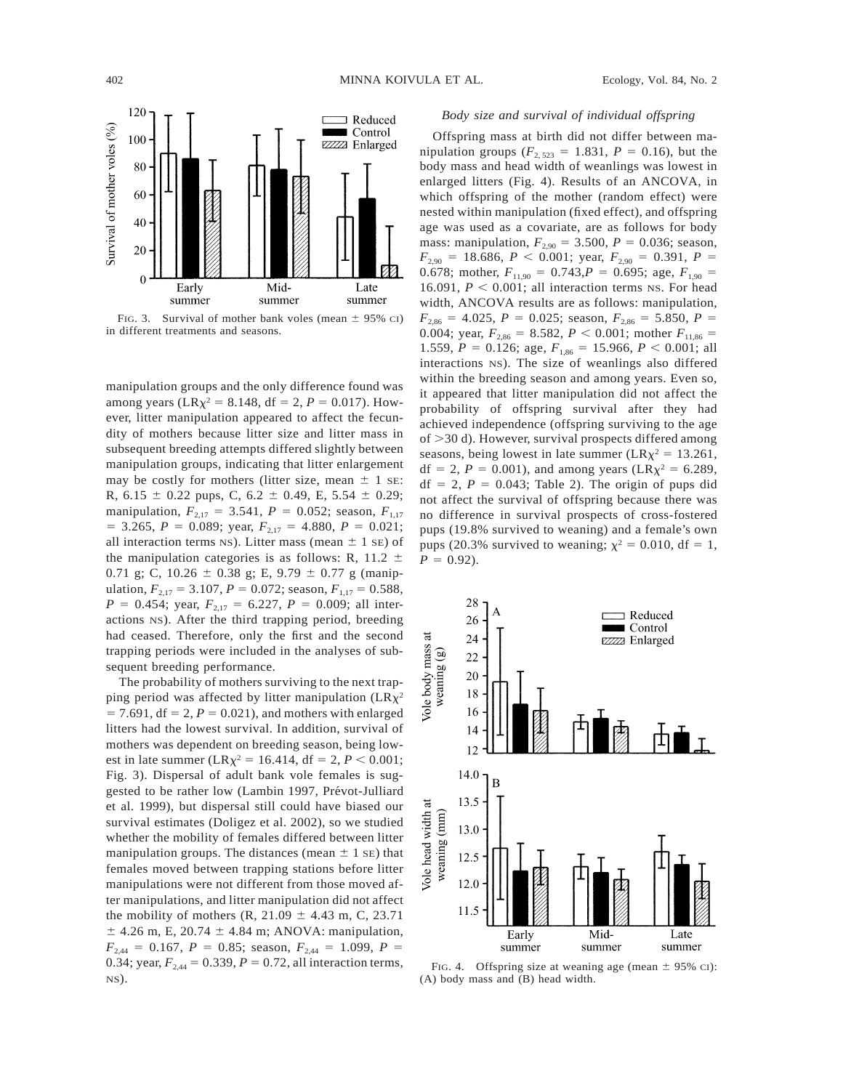

FIG. 3. Survival of mother bank voles (mean  $\pm$  95% CI) in different treatments and seasons.

manipulation groups and the only difference found was among years (LR $\chi^2$  = 8.148, df = 2, *P* = 0.017). However, litter manipulation appeared to affect the fecundity of mothers because litter size and litter mass in subsequent breeding attempts differed slightly between manipulation groups, indicating that litter enlargement may be costly for mothers (litter size, mean  $\pm$  1 se: R, 6.15  $\pm$  0.22 pups, C, 6.2  $\pm$  0.49, E, 5.54  $\pm$  0.29; manipulation,  $F_{2,17} = 3.541$ ,  $P = 0.052$ ; season,  $F_{1,17}$  $=$  3.265, *P* = 0.089; year,  $F_{2,17}$  = 4.880, *P* = 0.021; all interaction terms NS). Litter mass (mean  $\pm$  1 SE) of the manipulation categories is as follows: R, 11.2  $\pm$ 0.71 g; C, 10.26  $\pm$  0.38 g; E, 9.79  $\pm$  0.77 g (manipulation,  $F_{2,17} = 3.107$ ,  $P = 0.072$ ; season,  $F_{1,17} = 0.588$ ,  $P = 0.454$ ; year,  $F_{2,17} = 6.227$ ,  $P = 0.009$ ; all interactions NS). After the third trapping period, breeding had ceased. Therefore, only the first and the second trapping periods were included in the analyses of subsequent breeding performance.

The probability of mothers surviving to the next trapping period was affected by litter manipulation  $(LRx^2)$  $= 7.691$ , df  $= 2$ ,  $P = 0.021$ ), and mothers with enlarged litters had the lowest survival. In addition, survival of mothers was dependent on breeding season, being lowest in late summer (LR $\chi^2$  = 16.414, df = 2, *P* < 0.001; Fig. 3). Dispersal of adult bank vole females is suggested to be rather low (Lambin 1997, Prévot-Julliard et al. 1999), but dispersal still could have biased our survival estimates (Doligez et al. 2002), so we studied whether the mobility of females differed between litter manipulation groups. The distances (mean  $\pm$  1 se) that females moved between trapping stations before litter manipulations were not different from those moved after manipulations, and litter manipulation did not affect the mobility of mothers  $(R, 21.09 \pm 4.43 \text{ m}, C, 23.71 \text{ m})$  $±$  4.26 m, E, 20.74  $±$  4.84 m; ANOVA: manipulation,  $F_{2,44} = 0.167$ ,  $P = 0.85$ ; season,  $F_{2,44} = 1.099$ ,  $P =$ 0.34; year,  $F_{2,44} = 0.339$ ,  $P = 0.72$ , all interaction terms, NS).

# *Body size and survival of individual offspring*

Offspring mass at birth did not differ between manipulation groups ( $F_{2,523} = 1.831$ ,  $P = 0.16$ ), but the body mass and head width of weanlings was lowest in enlarged litters (Fig. 4). Results of an ANCOVA, in which offspring of the mother (random effect) were nested within manipulation (fixed effect), and offspring age was used as a covariate, are as follows for body mass: manipulation,  $F_{2,90} = 3.500$ ,  $P = 0.036$ ; season,  $F_{2,90}$  = 18.686, *P* < 0.001; year,  $F_{2,90}$  = 0.391, *P* = 0.678; mother,  $F_{11,90} = 0.743, P = 0.695$ ; age,  $F_{1,90} =$ 16.091,  $P < 0.001$ ; all interaction terms NS. For head width, ANCOVA results are as follows: manipulation,  $F_{2,86} = 4.025$ ,  $P = 0.025$ ; season,  $F_{2,86} = 5.850$ ,  $P =$ 0.004; year,  $F_{2,86} = 8.582$ ,  $P < 0.001$ ; mother  $F_{11,86} =$ 1.559,  $P = 0.126$ ; age,  $F_{1,86} = 15.966$ ,  $P < 0.001$ ; all interactions NS). The size of weanlings also differed within the breeding season and among years. Even so, it appeared that litter manipulation did not affect the probability of offspring survival after they had achieved independence (offspring surviving to the age of  $>$ 30 d). However, survival prospects differed among seasons, being lowest in late summer ( $LR\chi^2 = 13.261$ , df = 2, *P* = 0.001), and among years (LR $\chi^2$  = 6.289,  $df = 2$ ,  $P = 0.043$ ; Table 2). The origin of pups did not affect the survival of offspring because there was no difference in survival prospects of cross-fostered pups (19.8% survived to weaning) and a female's own pups (20.3% survived to weaning;  $\chi^2 = 0.010$ , df = 1,  $P = 0.92$ .



FIG. 4. Offspring size at weaning age (mean  $\pm$  95% CI): (A) body mass and (B) head width.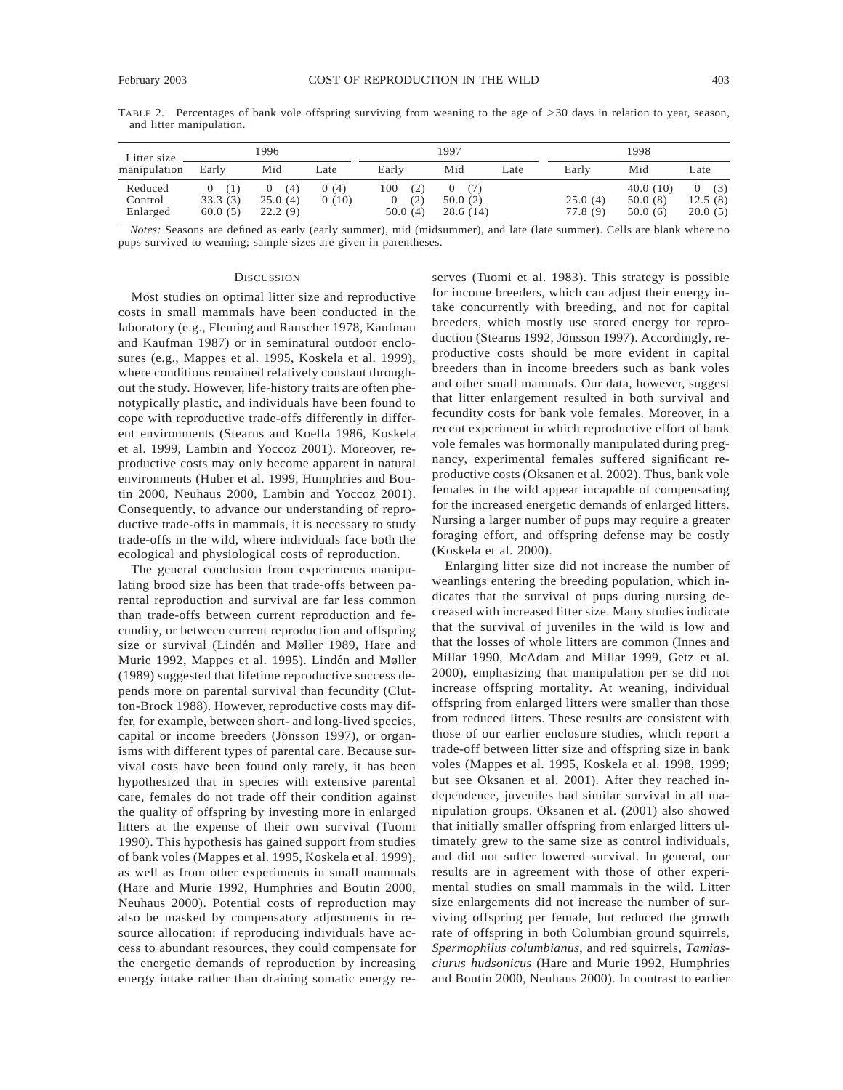TABLE 2. Percentages of bank vole offspring surviving from weaning to the age of  $>30$  days in relation to year, season, and litter manipulation.

| Litter size<br>manipulation    | 1996                                  |                                | 1997          |                              |                            | 1998 |                    |                                |                            |
|--------------------------------|---------------------------------------|--------------------------------|---------------|------------------------------|----------------------------|------|--------------------|--------------------------------|----------------------------|
|                                | Early                                 | Mid                            | Late          | Early                        | Mid                        | Late | Early              | Mid                            | Late                       |
| Reduced<br>Control<br>Enlarged | (1)<br>$\theta$<br>33.3(3)<br>60.0(5) | (4)<br>0<br>25.0(4)<br>22.2(9) | 0(4)<br>0(10) | 100<br>(2)<br>(2)<br>50.0(4) | (7)<br>50.0(2)<br>28.6(14) |      | 25.0(4)<br>77.8(9) | 40.0(10)<br>50.0(8)<br>50.0(6) | 0(3)<br>12.5(8)<br>20.0(5) |

*Notes:* Seasons are defined as early (early summer), mid (midsummer), and late (late summer). Cells are blank where no pups survived to weaning; sample sizes are given in parentheses.

#### **DISCUSSION**

Most studies on optimal litter size and reproductive costs in small mammals have been conducted in the laboratory (e.g., Fleming and Rauscher 1978, Kaufman and Kaufman 1987) or in seminatural outdoor enclosures (e.g., Mappes et al. 1995, Koskela et al. 1999), where conditions remained relatively constant throughout the study. However, life-history traits are often phenotypically plastic, and individuals have been found to cope with reproductive trade-offs differently in different environments (Stearns and Koella 1986, Koskela et al. 1999, Lambin and Yoccoz 2001). Moreover, reproductive costs may only become apparent in natural environments (Huber et al. 1999, Humphries and Boutin 2000, Neuhaus 2000, Lambin and Yoccoz 2001). Consequently, to advance our understanding of reproductive trade-offs in mammals, it is necessary to study trade-offs in the wild, where individuals face both the ecological and physiological costs of reproduction.

The general conclusion from experiments manipulating brood size has been that trade-offs between parental reproduction and survival are far less common than trade-offs between current reproduction and fecundity, or between current reproduction and offspring size or survival (Lindén and Møller 1989, Hare and Murie 1992, Mappes et al. 1995). Lindén and Møller (1989) suggested that lifetime reproductive success depends more on parental survival than fecundity (Clutton-Brock 1988). However, reproductive costs may differ, for example, between short- and long-lived species, capital or income breeders (Jönsson 1997), or organisms with different types of parental care. Because survival costs have been found only rarely, it has been hypothesized that in species with extensive parental care, females do not trade off their condition against the quality of offspring by investing more in enlarged litters at the expense of their own survival (Tuomi 1990). This hypothesis has gained support from studies of bank voles (Mappes et al. 1995, Koskela et al. 1999), as well as from other experiments in small mammals (Hare and Murie 1992, Humphries and Boutin 2000, Neuhaus 2000). Potential costs of reproduction may also be masked by compensatory adjustments in resource allocation: if reproducing individuals have access to abundant resources, they could compensate for the energetic demands of reproduction by increasing energy intake rather than draining somatic energy reserves (Tuomi et al. 1983). This strategy is possible for income breeders, which can adjust their energy intake concurrently with breeding, and not for capital breeders, which mostly use stored energy for reproduction (Stearns 1992, Jönsson 1997). Accordingly, reproductive costs should be more evident in capital breeders than in income breeders such as bank voles and other small mammals. Our data, however, suggest that litter enlargement resulted in both survival and fecundity costs for bank vole females. Moreover, in a recent experiment in which reproductive effort of bank vole females was hormonally manipulated during pregnancy, experimental females suffered significant reproductive costs (Oksanen et al. 2002). Thus, bank vole females in the wild appear incapable of compensating for the increased energetic demands of enlarged litters. Nursing a larger number of pups may require a greater foraging effort, and offspring defense may be costly (Koskela et al. 2000).

Enlarging litter size did not increase the number of weanlings entering the breeding population, which indicates that the survival of pups during nursing decreased with increased litter size. Many studies indicate that the survival of juveniles in the wild is low and that the losses of whole litters are common (Innes and Millar 1990, McAdam and Millar 1999, Getz et al. 2000), emphasizing that manipulation per se did not increase offspring mortality. At weaning, individual offspring from enlarged litters were smaller than those from reduced litters. These results are consistent with those of our earlier enclosure studies, which report a trade-off between litter size and offspring size in bank voles (Mappes et al. 1995, Koskela et al. 1998, 1999; but see Oksanen et al. 2001). After they reached independence, juveniles had similar survival in all manipulation groups. Oksanen et al. (2001) also showed that initially smaller offspring from enlarged litters ultimately grew to the same size as control individuals, and did not suffer lowered survival. In general, our results are in agreement with those of other experimental studies on small mammals in the wild. Litter size enlargements did not increase the number of surviving offspring per female, but reduced the growth rate of offspring in both Columbian ground squirrels, *Spermophilus columbianus*, and red squirrels, *Tamiasciurus hudsonicus* (Hare and Murie 1992, Humphries and Boutin 2000, Neuhaus 2000). In contrast to earlier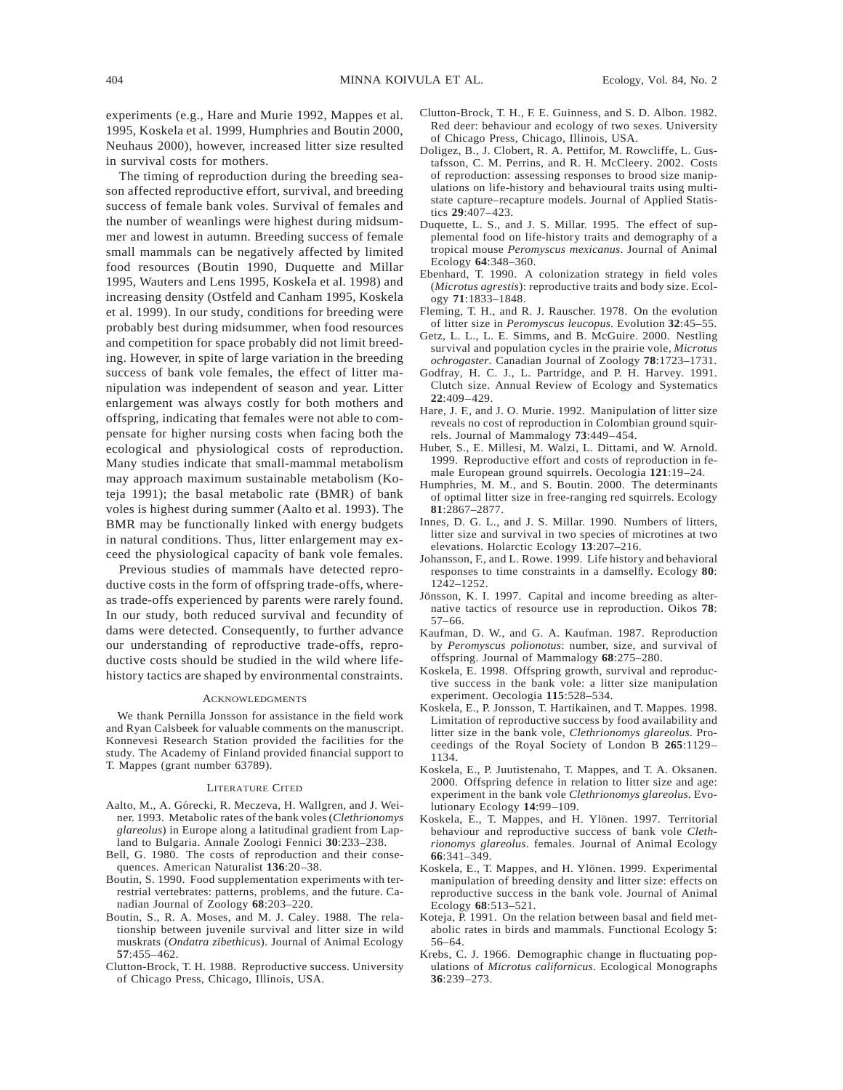experiments (e.g., Hare and Murie 1992, Mappes et al. 1995, Koskela et al. 1999, Humphries and Boutin 2000, Neuhaus 2000), however, increased litter size resulted in survival costs for mothers.

The timing of reproduction during the breeding season affected reproductive effort, survival, and breeding success of female bank voles. Survival of females and the number of weanlings were highest during midsummer and lowest in autumn. Breeding success of female small mammals can be negatively affected by limited food resources (Boutin 1990, Duquette and Millar 1995, Wauters and Lens 1995, Koskela et al. 1998) and increasing density (Ostfeld and Canham 1995, Koskela et al. 1999). In our study, conditions for breeding were probably best during midsummer, when food resources and competition for space probably did not limit breeding. However, in spite of large variation in the breeding success of bank vole females, the effect of litter manipulation was independent of season and year. Litter enlargement was always costly for both mothers and offspring, indicating that females were not able to compensate for higher nursing costs when facing both the ecological and physiological costs of reproduction. Many studies indicate that small-mammal metabolism may approach maximum sustainable metabolism (Koteja 1991); the basal metabolic rate (BMR) of bank voles is highest during summer (Aalto et al. 1993). The BMR may be functionally linked with energy budgets in natural conditions. Thus, litter enlargement may exceed the physiological capacity of bank vole females.

Previous studies of mammals have detected reproductive costs in the form of offspring trade-offs, whereas trade-offs experienced by parents were rarely found. In our study, both reduced survival and fecundity of dams were detected. Consequently, to further advance our understanding of reproductive trade-offs, reproductive costs should be studied in the wild where lifehistory tactics are shaped by environmental constraints.

#### ACKNOWLEDGMENTS

We thank Pernilla Jonsson for assistance in the field work and Ryan Calsbeek for valuable comments on the manuscript. Konnevesi Research Station provided the facilities for the study. The Academy of Finland provided financial support to T. Mappes (grant number 63789).

#### LITERATURE CITED

- Aalto, M., A. Górecki, R. Meczeva, H. Wallgren, and J. Weiner. 1993. Metabolic rates of the bank voles (*Clethrionomys glareolus*) in Europe along a latitudinal gradient from Lapland to Bulgaria. Annale Zoologi Fennici **30**:233–238.
- Bell, G. 1980. The costs of reproduction and their consequences. American Naturalist **136**:20–38.
- Boutin, S. 1990. Food supplementation experiments with terrestrial vertebrates: patterns, problems, and the future. Canadian Journal of Zoology **68**:203–220.
- Boutin, S., R. A. Moses, and M. J. Caley. 1988. The relationship between juvenile survival and litter size in wild muskrats (*Ondatra zibethicus*). Journal of Animal Ecology **57**:455–462.
- Clutton-Brock, T. H. 1988. Reproductive success. University of Chicago Press, Chicago, Illinois, USA.
- Clutton-Brock, T. H., F. E. Guinness, and S. D. Albon. 1982. Red deer: behaviour and ecology of two sexes. University of Chicago Press, Chicago, Illinois, USA.
- Doligez, B., J. Clobert, R. A. Pettifor, M. Rowcliffe, L. Gustafsson, C. M. Perrins, and R. H. McCleery. 2002. Costs of reproduction: assessing responses to brood size manipulations on life-history and behavioural traits using multistate capture–recapture models. Journal of Applied Statistics **29**:407–423.
- Duquette, L. S., and J. S. Millar. 1995. The effect of supplemental food on life-history traits and demography of a tropical mouse *Peromyscus mexicanus*. Journal of Animal Ecology **64**:348–360.
- Ebenhard, T. 1990. A colonization strategy in field voles (*Microtus agrestis*): reproductive traits and body size. Ecology **71**:1833–1848.
- Fleming, T. H., and R. J. Rauscher. 1978. On the evolution of litter size in *Peromyscus leucopus*. Evolution **32**:45–55.
- Getz, L. L., L. E. Simms, and B. McGuire. 2000. Nestling survival and population cycles in the prairie vole, *Microtus ochrogaster*. Canadian Journal of Zoology **78**:1723–1731.
- Godfray, H. C. J., L. Partridge, and P. H. Harvey. 1991. Clutch size. Annual Review of Ecology and Systematics **22**:409–429.
- Hare, J. F., and J. O. Murie. 1992. Manipulation of litter size reveals no cost of reproduction in Colombian ground squirrels. Journal of Mammalogy **73**:449–454.
- Huber, S., E. Millesi, M. Walzi, L. Dittami, and W. Arnold. 1999. Reproductive effort and costs of reproduction in female European ground squirrels. Oecologia **121**:19–24.
- Humphries, M. M., and S. Boutin. 2000. The determinants of optimal litter size in free-ranging red squirrels. Ecology **81**:2867–2877.
- Innes, D. G. L., and J. S. Millar. 1990. Numbers of litters, litter size and survival in two species of microtines at two elevations. Holarctic Ecology **13**:207–216.
- Johansson, F., and L. Rowe. 1999. Life history and behavioral responses to time constraints in a damselfly. Ecology **80**: 1242–1252.
- Jönsson, K. I. 1997. Capital and income breeding as alternative tactics of resource use in reproduction. Oikos **78**: 57–66.
- Kaufman, D. W., and G. A. Kaufman. 1987. Reproduction by *Peromyscus polionotus*: number, size, and survival of offspring. Journal of Mammalogy **68**:275–280.
- Koskela, E. 1998. Offspring growth, survival and reproductive success in the bank vole: a litter size manipulation experiment. Oecologia **115**:528–534.
- Koskela, E., P. Jonsson, T. Hartikainen, and T. Mappes. 1998. Limitation of reproductive success by food availability and litter size in the bank vole, *Clethrionomys glareolus*. Proceedings of the Royal Society of London B **265**:1129– 1134.
- Koskela, E., P. Juutistenaho, T. Mappes, and T. A. Oksanen. 2000. Offspring defence in relation to litter size and age: experiment in the bank vole *Clethrionomys glareolus*. Evolutionary Ecology **14**:99–109.
- Koskela, E., T. Mappes, and H. Ylönen. 1997. Territorial behaviour and reproductive success of bank vole *Clethrionomys glareolus*. females. Journal of Animal Ecology **66**:341–349.
- Koskela, E., T. Mappes, and H. Ylönen. 1999. Experimental manipulation of breeding density and litter size: effects on reproductive success in the bank vole. Journal of Animal Ecology **68**:513–521.
- Koteja, P. 1991. On the relation between basal and field metabolic rates in birds and mammals. Functional Ecology **5**: 56–64.
- Krebs, C. J. 1966. Demographic change in fluctuating populations of *Microtus californicus*. Ecological Monographs **36**:239–273.